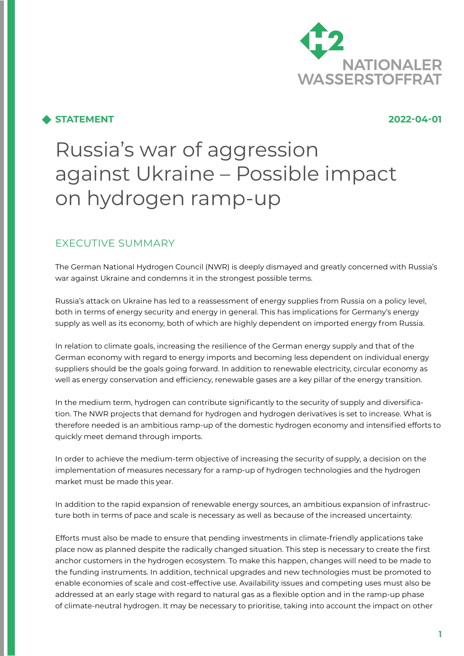

# **STATEMENT 2022-04-01**

# Russia's war of aggression against Ukraine – Possible impact on hydrogen ramp-up

# EXECUTIVE SUMMARY

The German National Hydrogen Council (NWR) is deeply dismayed and greatly concerned with Russia's war against Ukraine and condemns it in the strongest possible terms.

Russia's attack on Ukraine has led to a reassessment of energy supplies from Russia on a policy level, both in terms of energy security and energy in general. This has implications for Germany's energy supply as well as its economy, both of which are highly dependent on imported energy from Russia.

In relation to climate goals, increasing the resilience of the German energy supply and that of the German economy with regard to energy imports and becoming less dependent on individual energy suppliers should be the goals going forward. In addition to renewable electricity, circular economy as well as energy conservation and efficiency, renewable gases are a key pillar of the energy transition.

In the medium term, hydrogen can contribute significantly to the security of supply and diversification. The NWR projects that demand for hydrogen and hydrogen derivatives is set to increase. What is therefore needed is an ambitious ramp-up of the domestic hydrogen economy and intensified efforts to quickly meet demand through imports.

In order to achieve the medium-term objective of increasing the security of supply, a decision on the implementation of measures necessary for a ramp-up of hydrogen technologies and the hydrogen market must be made this year.

In addition to the rapid expansion of renewable energy sources, an ambitious expansion of infrastructure both in terms of pace and scale is necessary as well as because of the increased uncertainty.

Efforts must also be made to ensure that pending investments in climate-friendly applications take place now as planned despite the radically changed situation. This step is necessary to create the first anchor customers in the hydrogen ecosystem. To make this happen, changes will need to be made to the funding instruments. In addition, technical upgrades and new technologies must be promoted to enable economies of scale and cost-effective use. Availability issues and competing uses must also be addressed at an early stage with regard to natural gas as a flexible option and in the ramp-up phase of climate-neutral hydrogen. It may be necessary to prioritise, taking into account the impact on other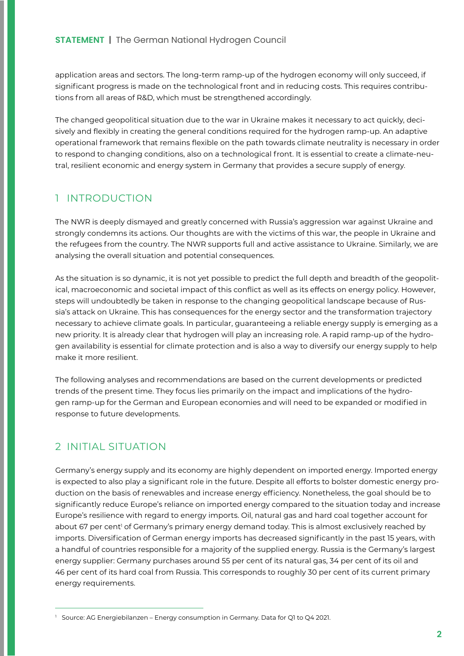application areas and sectors. The long-term ramp-up of the hydrogen economy will only succeed, if significant progress is made on the technological front and in reducing costs. This requires contributions from all areas of R&D, which must be strengthened accordingly.

The changed geopolitical situation due to the war in Ukraine makes it necessary to act quickly, decisively and flexibly in creating the general conditions required for the hydrogen ramp-up. An adaptive operational framework that remains flexible on the path towards climate neutrality is necessary in order to respond to changing conditions, also on a technological front. It is essential to create a climate-neutral, resilient economic and energy system in Germany that provides a secure supply of energy.

# 1 INTRODUCTION

The NWR is deeply dismayed and greatly concerned with Russia's aggression war against Ukraine and strongly condemns its actions. Our thoughts are with the victims of this war, the people in Ukraine and the refugees from the country. The NWR supports full and active assistance to Ukraine. Similarly, we are analysing the overall situation and potential consequences.

As the situation is so dynamic, it is not yet possible to predict the full depth and breadth of the geopolitical, macroeconomic and societal impact of this conflict as well as its effects on energy policy. However, steps will undoubtedly be taken in response to the changing geopolitical landscape because of Russia's attack on Ukraine. This has consequences for the energy sector and the transformation trajectory necessary to achieve climate goals. In particular, guaranteeing a reliable energy supply is emerging as a new priority. It is already clear that hydrogen will play an increasing role. A rapid ramp-up of the hydrogen availability is essential for climate protection and is also a way to diversify our energy supply to help make it more resilient.

The following analyses and recommendations are based on the current developments or predicted trends of the present time. They focus lies primarily on the impact and implications of the hydrogen ramp-up for the German and European economies and will need to be expanded or modified in response to future developments.

# 2 INITIAL SITUATION

Germany's energy supply and its economy are highly dependent on imported energy. Imported energy is expected to also play a significant role in the future. Despite all efforts to bolster domestic energy production on the basis of renewables and increase energy efficiency. Nonetheless, the goal should be to significantly reduce Europe's reliance on imported energy compared to the situation today and increase Europe's resilience with regard to energy imports. Oil, natural gas and hard coal together account for about 67 per cent<sup>1</sup> of Germany's primary energy demand today. This is almost exclusively reached by imports. Diversification of German energy imports has decreased significantly in the past 15 years, with a handful of countries responsible for a majority of the supplied energy. Russia is the Germany's largest energy supplier: Germany purchases around 55 per cent of its natural gas, 34 per cent of its oil and 46 per cent of its hard coal from Russia. This corresponds to roughly 30 per cent of its current primary energy requirements.

<sup>&</sup>lt;sup>1</sup> Source: AG Energiebilanzen – Energy consumption in Germany. Data for Q1 to Q4 2021.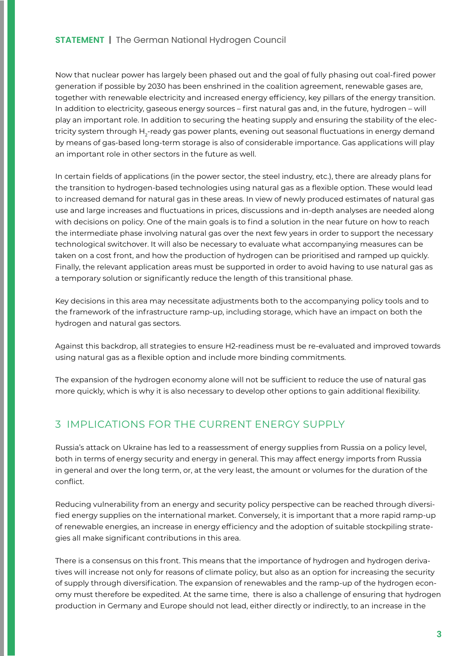Now that nuclear power has largely been phased out and the goal of fully phasing out coal-fired power generation if possible by 2030 has been enshrined in the coalition agreement, renewable gases are, together with renewable electricity and increased energy efficiency, key pillars of the energy transition. In addition to electricity, gaseous energy sources – first natural gas and, in the future, hydrogen – will play an important role. In addition to securing the heating supply and ensuring the stability of the electricity system through  $\mathsf{H}_{2}$ -ready gas power plants, evening out seasonal fluctuations in energy demand by means of gas-based long-term storage is also of considerable importance. Gas applications will play an important role in other sectors in the future as well.

In certain fields of applications (in the power sector, the steel industry, etc.), there are already plans for the transition to hydrogen-based technologies using natural gas as a flexible option. These would lead to increased demand for natural gas in these areas. In view of newly produced estimates of natural gas use and large increases and fluctuations in prices, discussions and in-depth analyses are needed along with decisions on policy. One of the main goals is to find a solution in the near future on how to reach the intermediate phase involving natural gas over the next few years in order to support the necessary technological switchover. It will also be necessary to evaluate what accompanying measures can be taken on a cost front, and how the production of hydrogen can be prioritised and ramped up quickly. Finally, the relevant application areas must be supported in order to avoid having to use natural gas as a temporary solution or significantly reduce the length of this transitional phase.

Key decisions in this area may necessitate adjustments both to the accompanying policy tools and to the framework of the infrastructure ramp-up, including storage, which have an impact on both the hydrogen and natural gas sectors.

Against this backdrop, all strategies to ensure H2-readiness must be re-evaluated and improved towards using natural gas as a flexible option and include more binding commitments.

The expansion of the hydrogen economy alone will not be sufficient to reduce the use of natural gas more quickly, which is why it is also necessary to develop other options to gain additional flexibility.

# 3 IMPLICATIONS FOR THE CURRENT ENERGY SUPPLY

Russia's attack on Ukraine has led to a reassessment of energy supplies from Russia on a policy level, both in terms of energy security and energy in general. This may affect energy imports from Russia in general and over the long term, or, at the very least, the amount or volumes for the duration of the conflict.

Reducing vulnerability from an energy and security policy perspective can be reached through diversified energy supplies on the international market. Conversely, it is important that a more rapid ramp-up of renewable energies, an increase in energy efficiency and the adoption of suitable stockpiling strategies all make significant contributions in this area.

There is a consensus on this front. This means that the importance of hydrogen and hydrogen derivatives will increase not only for reasons of climate policy, but also as an option for increasing the security of supply through diversification. The expansion of renewables and the ramp-up of the hydrogen economy must therefore be expedited. At the same time, there is also a challenge of ensuring that hydrogen production in Germany and Europe should not lead, either directly or indirectly, to an increase in the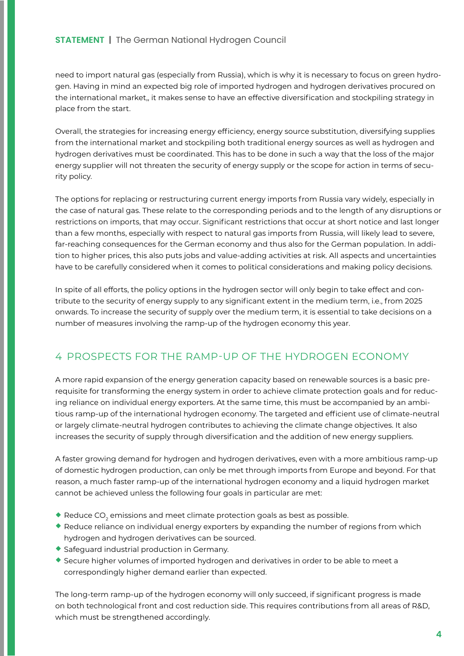### **STATEMENT** | The German National Hydrogen Council

need to import natural gas (especially from Russia), which is why it is necessary to focus on green hydrogen. Having in mind an expected big role of imported hydrogen and hydrogen derivatives procured on the international market,, it makes sense to have an effective diversification and stockpiling strategy in place from the start.

Overall, the strategies for increasing energy efficiency, energy source substitution, diversifying supplies from the international market and stockpiling both traditional energy sources as well as hydrogen and hydrogen derivatives must be coordinated. This has to be done in such a way that the loss of the major energy supplier will not threaten the security of energy supply or the scope for action in terms of security policy.

The options for replacing or restructuring current energy imports from Russia vary widely, especially in the case of natural gas. These relate to the corresponding periods and to the length of any disruptions or restrictions on imports, that may occur. Significant restrictions that occur at short notice and last longer than a few months, especially with respect to natural gas imports from Russia, will likely lead to severe, far-reaching consequences for the German economy and thus also for the German population. In addition to higher prices, this also puts jobs and value-adding activities at risk. All aspects and uncertainties have to be carefully considered when it comes to political considerations and making policy decisions.

In spite of all efforts, the policy options in the hydrogen sector will only begin to take effect and contribute to the security of energy supply to any significant extent in the medium term, i.e., from 2025 onwards. To increase the security of supply over the medium term, it is essential to take decisions on a number of measures involving the ramp-up of the hydrogen economy this year.

# 4 PROSPECTS FOR THE RAMP-UP OF THE HYDROGEN ECONOMY

A more rapid expansion of the energy generation capacity based on renewable sources is a basic prerequisite for transforming the energy system in order to achieve climate protection goals and for reducing reliance on individual energy exporters. At the same time, this must be accompanied by an ambitious ramp-up of the international hydrogen economy. The targeted and efficient use of climate-neutral or largely climate-neutral hydrogen contributes to achieving the climate change objectives. It also increases the security of supply through diversification and the addition of new energy suppliers.

A faster growing demand for hydrogen and hydrogen derivatives, even with a more ambitious ramp-up of domestic hydrogen production, can only be met through imports from Europe and beyond. For that reason, a much faster ramp-up of the international hydrogen economy and a liquid hydrogen market cannot be achieved unless the following four goals in particular are met:

- $\blacklozenge$  Reduce CO $_2$  emissions and meet climate protection goals as best as possible.
- $\bullet$  Reduce reliance on individual energy exporters by expanding the number of regions from which hydrogen and hydrogen derivatives can be sourced.
- ¡ Safeguard industrial production in Germany.
- ¡ Secure higher volumes of imported hydrogen and derivatives in order to be able to meet a correspondingly higher demand earlier than expected.

The long-term ramp-up of the hydrogen economy will only succeed, if significant progress is made on both technological front and cost reduction side. This requires contributions from all areas of R&D, which must be strengthened accordingly.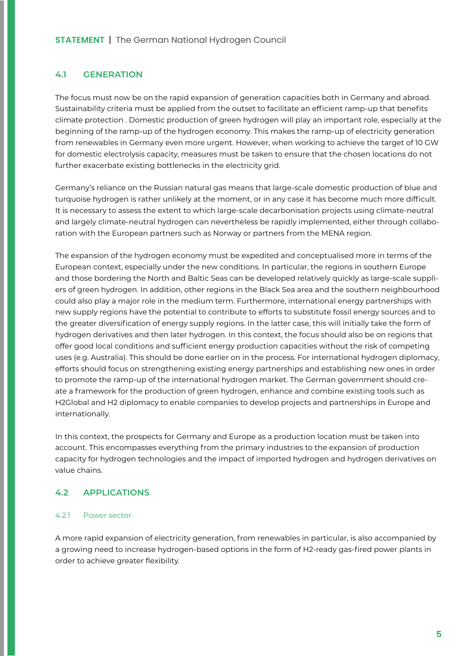#### **4.1 GENERATION**

The focus must now be on the rapid expansion of generation capacities both in Germany and abroad. Sustainability criteria must be applied from the outset to facilitate an efficient ramp-up that benefits climate protection . Domestic production of green hydrogen will play an important role, especially at the beginning of the ramp-up of the hydrogen economy. This makes the ramp-up of electricity generation from renewables in Germany even more urgent. However, when working to achieve the target of 10 GW for domestic electrolysis capacity, measures must be taken to ensure that the chosen locations do not further exacerbate existing bottlenecks in the electricity grid.

Germany's reliance on the Russian natural gas means that large-scale domestic production of blue and turquoise hydrogen is rather unlikely at the moment, or in any case it has become much more difficult. It is necessary to assess the extent to which large-scale decarbonisation projects using climate-neutral and largely climate-neutral hydrogen can nevertheless be rapidly implemented, either through collaboration with the European partners such as Norway or partners from the MENA region.

The expansion of the hydrogen economy must be expedited and conceptualised more in terms of the European context, especially under the new conditions. In particular, the regions in southern Europe and those bordering the North and Baltic Seas can be developed relatively quickly as large-scale suppliers of green hydrogen. In addition, other regions in the Black Sea area and the southern neighbourhood could also play a major role in the medium term. Furthermore, international energy partnerships with new supply regions have the potential to contribute to efforts to substitute fossil energy sources and to the greater diversification of energy supply regions. In the latter case, this will initially take the form of hydrogen derivatives and then later hydrogen. In this context, the focus should also be on regions that offer good local conditions and sufficient energy production capacities without the risk of competing uses (e.g. Australia). This should be done earlier on in the process. For international hydrogen diplomacy, efforts should focus on strengthening existing energy partnerships and establishing new ones in order to promote the ramp-up of the international hydrogen market. The German government should create a framework for the production of green hydrogen, enhance and combine existing tools such as H2Global and H2 diplomacy to enable companies to develop projects and partnerships in Europe and internationally.

In this context, the prospects for Germany and Europe as a production location must be taken into account. This encompasses everything from the primary industries to the expansion of production capacity for hydrogen technologies and the impact of imported hydrogen and hydrogen derivatives on value chains.

#### **4.2 APPLICATIONS**

#### 4.2.1 Power sector

A more rapid expansion of electricity generation, from renewables in particular, is also accompanied by a growing need to increase hydrogen-based options in the form of H2-ready gas-fired power plants in order to achieve greater flexibility.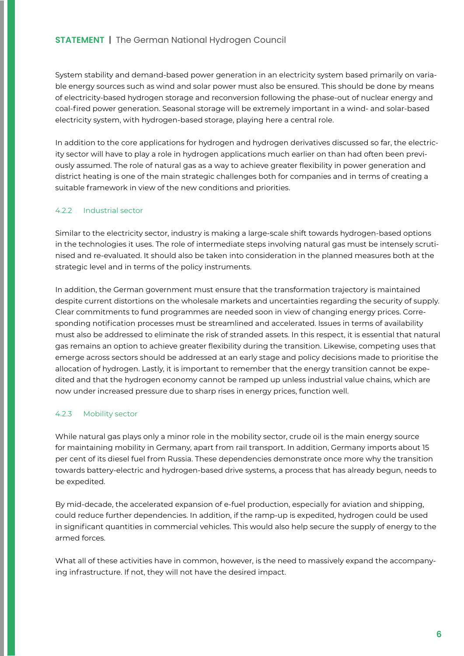System stability and demand-based power generation in an electricity system based primarily on variable energy sources such as wind and solar power must also be ensured. This should be done by means of electricity-based hydrogen storage and reconversion following the phase-out of nuclear energy and coal-fired power generation. Seasonal storage will be extremely important in a wind- and solar-based electricity system, with hydrogen-based storage, playing here a central role.

In addition to the core applications for hydrogen and hydrogen derivatives discussed so far, the electricity sector will have to play a role in hydrogen applications much earlier on than had often been previously assumed. The role of natural gas as a way to achieve greater flexibility in power generation and district heating is one of the main strategic challenges both for companies and in terms of creating a suitable framework in view of the new conditions and priorities.

#### 4.2.2 Industrial sector

Similar to the electricity sector, industry is making a large-scale shift towards hydrogen-based options in the technologies it uses. The role of intermediate steps involving natural gas must be intensely scrutinised and re-evaluated. It should also be taken into consideration in the planned measures both at the strategic level and in terms of the policy instruments.

In addition, the German government must ensure that the transformation trajectory is maintained despite current distortions on the wholesale markets and uncertainties regarding the security of supply. Clear commitments to fund programmes are needed soon in view of changing energy prices. Corresponding notification processes must be streamlined and accelerated. Issues in terms of availability must also be addressed to eliminate the risk of stranded assets. In this respect, it is essential that natural gas remains an option to achieve greater flexibility during the transition. Likewise, competing uses that emerge across sectors should be addressed at an early stage and policy decisions made to prioritise the allocation of hydrogen. Lastly, it is important to remember that the energy transition cannot be expedited and that the hydrogen economy cannot be ramped up unless industrial value chains, which are now under increased pressure due to sharp rises in energy prices, function well.

#### 4.2.3 Mobility sector

While natural gas plays only a minor role in the mobility sector, crude oil is the main energy source for maintaining mobility in Germany, apart from rail transport. In addition, Germany imports about 15 per cent of its diesel fuel from Russia. These dependencies demonstrate once more why the transition towards battery-electric and hydrogen-based drive systems, a process that has already begun, needs to be expedited.

By mid-decade, the accelerated expansion of e-fuel production, especially for aviation and shipping, could reduce further dependencies. In addition, if the ramp-up is expedited, hydrogen could be used in significant quantities in commercial vehicles. This would also help secure the supply of energy to the armed forces.

What all of these activities have in common, however, is the need to massively expand the accompanying infrastructure. If not, they will not have the desired impact.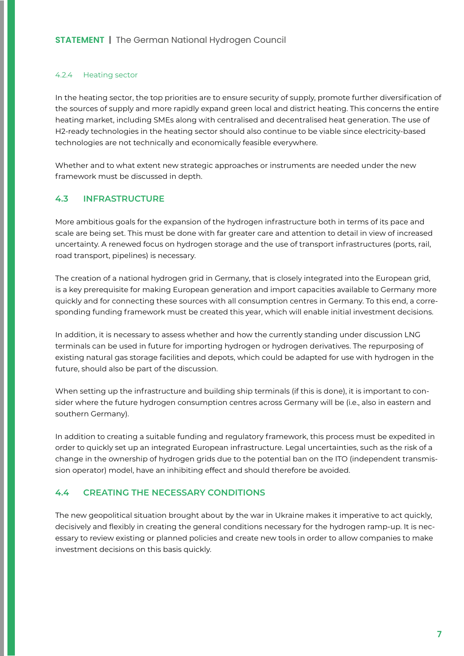#### 4.2.4 Heating sector

In the heating sector, the top priorities are to ensure security of supply, promote further diversification of the sources of supply and more rapidly expand green local and district heating. This concerns the entire heating market, including SMEs along with centralised and decentralised heat generation. The use of H2-ready technologies in the heating sector should also continue to be viable since electricity-based technologies are not technically and economically feasible everywhere.

Whether and to what extent new strategic approaches or instruments are needed under the new framework must be discussed in depth.

#### **4.3 INFRASTRUCTURE**

More ambitious goals for the expansion of the hydrogen infrastructure both in terms of its pace and scale are being set. This must be done with far greater care and attention to detail in view of increased uncertainty. A renewed focus on hydrogen storage and the use of transport infrastructures (ports, rail, road transport, pipelines) is necessary.

The creation of a national hydrogen grid in Germany, that is closely integrated into the European grid, is a key prerequisite for making European generation and import capacities available to Germany more quickly and for connecting these sources with all consumption centres in Germany. To this end, a corresponding funding framework must be created this year, which will enable initial investment decisions.

In addition, it is necessary to assess whether and how the currently standing under discussion LNG terminals can be used in future for importing hydrogen or hydrogen derivatives. The repurposing of existing natural gas storage facilities and depots, which could be adapted for use with hydrogen in the future, should also be part of the discussion.

When setting up the infrastructure and building ship terminals (if this is done), it is important to consider where the future hydrogen consumption centres across Germany will be (i.e., also in eastern and southern Germany).

In addition to creating a suitable funding and regulatory framework, this process must be expedited in order to quickly set up an integrated European infrastructure. Legal uncertainties, such as the risk of a change in the ownership of hydrogen grids due to the potential ban on the ITO (independent transmission operator) model, have an inhibiting effect and should therefore be avoided.

#### **4.4 CREATING THE NECESSARY CONDITIONS**

The new geopolitical situation brought about by the war in Ukraine makes it imperative to act quickly, decisively and flexibly in creating the general conditions necessary for the hydrogen ramp-up. It is necessary to review existing or planned policies and create new tools in order to allow companies to make investment decisions on this basis quickly.